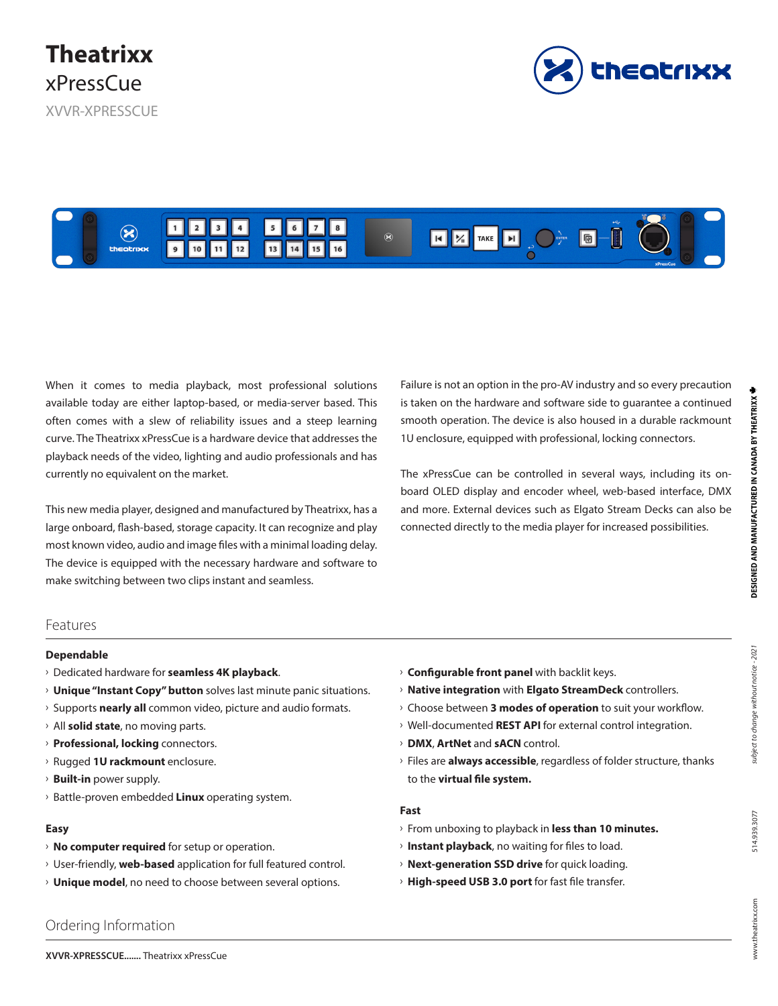XVVR-XPRESSCUE





When it comes to media playback, most professional solutions available today are either laptop-based, or media-server based. This often comes with a slew of reliability issues and a steep learning curve. The Theatrixx xPressCue is a hardware device that addresses the playback needs of the video, lighting and audio professionals and has currently no equivalent on the market.

This new media player, designed and manufactured by Theatrixx, has a large onboard, flash-based, storage capacity. It can recognize and play most known video, audio and image files with a minimal loading delay. The device is equipped with the necessary hardware and software to make switching between two clips instant and seamless.

Failure is not an option in the pro-AV industry and so every precaution is taken on the hardware and software side to guarantee a continued smooth operation. The device is also housed in a durable rackmount 1U enclosure, equipped with professional, locking connectors.

The xPressCue can be controlled in several ways, including its onboard OLED display and encoder wheel, web-based interface, DMX and more. External devices such as Elgato Stream Decks can also be connected directly to the media player for increased possibilities.

### Features

#### **Dependable**

- Ű Dedicated hardware for **seamless 4K playback**.
- **Unique "Instant Copy" button** solves last minute panic situations.
- $\rightarrow$  Supports **nearly all** common video, picture and audio formats.
- $\rightarrow$  All **solid state**, no moving parts.
- **Professional, locking connectors.**
- Ű Rugged **1U rackmount** enclosure.
- **Built-in** power supply.
- **Battle-proven embedded Linux operating system.**

### **Easy**

- **No computer required** for setup or operation.
- $\rightarrow$  User-friendly, **web-based** application for full featured control.
- $\rightarrow$  **Unique model**, no need to choose between several options.
- **Configurable front panel** with backlit keys.
- **Native integration** with **Elgato StreamDeck** controllers.
- $\rightarrow$  Choose between **3 modes of operation** to suit your workflow.
- **Well-documented REST API** for external control integration.
- Ű **DMX**, **ArtNet** and **sACN** control.
- Ű Files are **always accessible**, regardless of folder structure, thanks to the **virtual file system.**

#### **Fast**

- Ű From unboxing to playback in **less than 10 minutes.**
- $\rightarrow$  **Instant playback**, no waiting for files to load.
- **Next-generation SSD drive** for quick loading.
- **High-speed USB 3.0 port** for fast file transfer.

# Ordering Information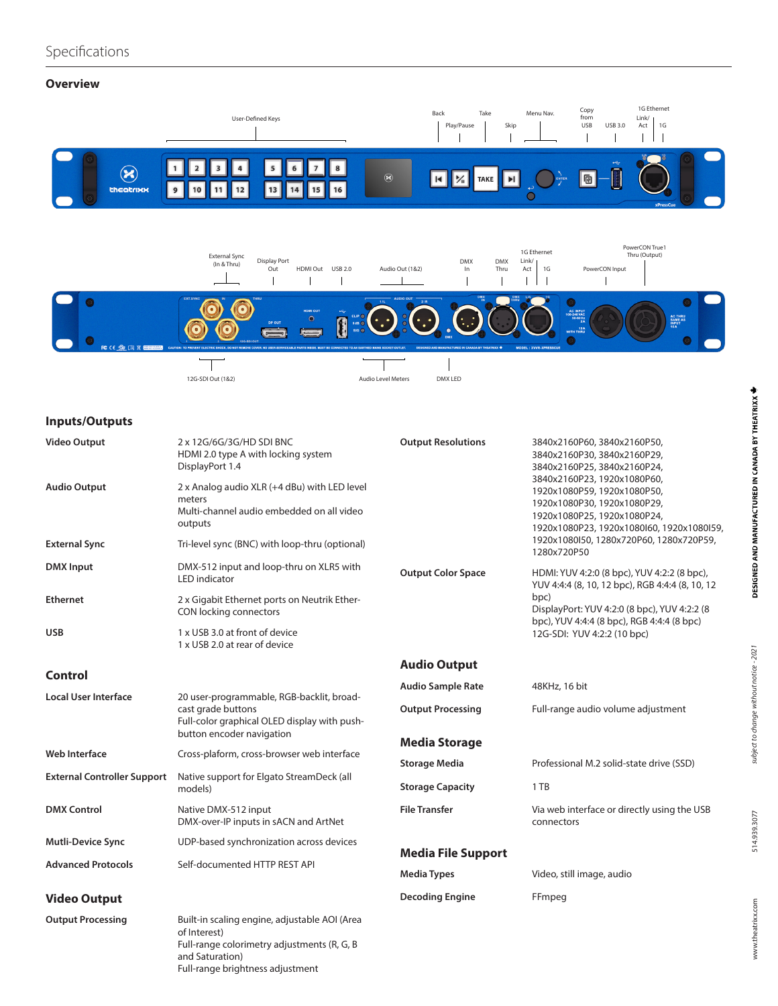# **Overview**





# **Inputs/Outputs**

| <b>Video Output</b>                | 2 x 12G/6G/3G/HD SDI BNC<br>HDMI 2.0 type A with locking system<br>DisplayPort 1.4                              | <b>Output Resolutions</b>                                        | 3840x2160P60, 3840x2160P50,<br>3840x2160P30, 3840x2160P29,<br>3840x2160P25, 3840x2160P24,<br>3840x2160P23, 1920x1080P60,<br>1920x1080P59, 1920x1080P50,<br>1920x1080P30, 1920x1080P29,<br>1920x1080P25, 1920x1080P24,<br>1920x1080P23, 1920x1080l60, 1920x1080l59, |
|------------------------------------|-----------------------------------------------------------------------------------------------------------------|------------------------------------------------------------------|--------------------------------------------------------------------------------------------------------------------------------------------------------------------------------------------------------------------------------------------------------------------|
| <b>Audio Output</b>                | 2 x Analog audio XLR (+4 dBu) with LED level<br>meters<br>Multi-channel audio embedded on all video<br>outputs  |                                                                  |                                                                                                                                                                                                                                                                    |
| <b>External Sync</b>               | Tri-level sync (BNC) with loop-thru (optional)                                                                  |                                                                  | 1920x1080l50, 1280x720P60, 1280x720P59,<br>1280x720P50                                                                                                                                                                                                             |
| <b>DMX</b> Input                   | DMX-512 input and loop-thru on XLR5 with<br><b>LED</b> indicator                                                | <b>Output Color Space</b>                                        | HDMI: YUV 4:2:0 (8 bpc), YUV 4:2:2 (8 bpc),<br>YUV 4:4:4 (8, 10, 12 bpc), RGB 4:4:4 (8, 10, 12<br>bpc)<br>DisplayPort: YUV 4:2:0 (8 bpc), YUV 4:2:2 (8<br>bpc), YUV 4:4:4 (8 bpc), RGB 4:4:4 (8 bpc)<br>12G-SDI: YUV 4:2:2 (10 bpc)                                |
| <b>Ethernet</b>                    | 2 x Gigabit Ethernet ports on Neutrik Ether-<br>CON locking connectors                                          |                                                                  |                                                                                                                                                                                                                                                                    |
| <b>USB</b>                         | 1 x USB 3.0 at front of device<br>1 x USB 2.0 at rear of device                                                 |                                                                  |                                                                                                                                                                                                                                                                    |
|                                    |                                                                                                                 | <b>Audio Output</b>                                              |                                                                                                                                                                                                                                                                    |
| Control                            |                                                                                                                 | <b>Audio Sample Rate</b>                                         | 48KHz, 16 bit                                                                                                                                                                                                                                                      |
| Local User Interface               | 20 user-programmable, RGB-backlit, broad-<br>cast grade buttons<br>Full-color graphical OLED display with push- | <b>Output Processing</b>                                         | Full-range audio volume adjustment                                                                                                                                                                                                                                 |
|                                    | button encoder navigation                                                                                       | <b>Media Storage</b>                                             |                                                                                                                                                                                                                                                                    |
| Web Interface                      | Cross-plaform, cross-browser web interface                                                                      | <b>Storage Media</b><br>Professional M.2 solid-state drive (SSD) |                                                                                                                                                                                                                                                                    |
| <b>External Controller Support</b> | Native support for Elgato StreamDeck (all<br>models)                                                            | <b>Storage Capacity</b>                                          | 1 TB                                                                                                                                                                                                                                                               |
| <b>DMX Control</b>                 | Native DMX-512 input<br>DMX-over-IP inputs in sACN and ArtNet                                                   | <b>File Transfer</b>                                             | Via web interface or directly using the USB<br>connectors                                                                                                                                                                                                          |
| <b>Mutli-Device Sync</b>           | UDP-based synchronization across devices                                                                        |                                                                  |                                                                                                                                                                                                                                                                    |
| <b>Advanced Protocols</b>          | Self-documented HTTP REST API                                                                                   | <b>Media File Support</b><br><b>Media Types</b>                  | Video, still image, audio                                                                                                                                                                                                                                          |
| <b>Video Output</b>                |                                                                                                                 | <b>Decoding Engine</b>                                           | FFmpeg                                                                                                                                                                                                                                                             |
| <b>Output Processing</b>           | Built-in scaling engine, adjustable AOI (Area<br>of Interest)<br>Full-range colorimetry adjustments (R, G, B    |                                                                  |                                                                                                                                                                                                                                                                    |

and Saturation) Full-range brightness adjustment